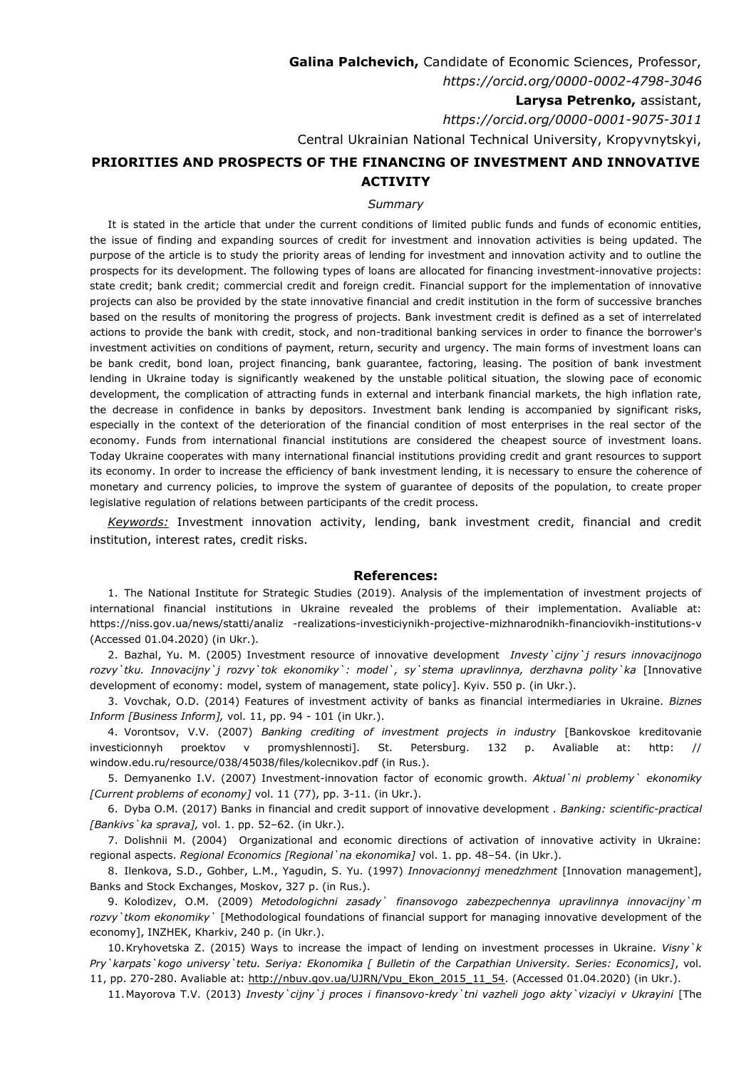**Galina Palchevich,** Candidate of Economic Sciences, Professor, *https://orcid.org/0000-0002-4798-3046* **Larysa Petrenko,** assistant,

*https://orcid.org/0000-0001-9075-3011*

## Central Ukrainian National Technical University, Kropyvnytskyi, **PRIORITIES AND PROSPECTS OF THE FINANCING OF INVESTMENT AND INNOVATIVE**

## **ACTIVITY**

## *Summary*

It is stated in the article that under the current conditions of limited public funds and funds of economic entities, the issue of finding and expanding sources of credit for investment and innovation activities is being updated. The purpose of the article is to study the priority areas of lending for investment and innovation activity and to outline the prospects for its development. The following types of loans are allocated for financing investment-innovative projects: state credit; bank credit; commercial credit and foreign credit. Financial support for the implementation of innovative projects can also be provided by the state innovative financial and credit institution in the form of successive branches based on the results of monitoring the progress of projects. Bank investment credit is defined as a set of interrelated actions to provide the bank with credit, stock, and non-traditional banking services in order to finance the borrower's investment activities on conditions of payment, return, security and urgency. The main forms of investment loans can be bank credit, bond loan, project financing, bank guarantee, factoring, leasing. The position of bank investment lending in Ukraine today is significantly weakened by the unstable political situation, the slowing pace of economic development, the complication of attracting funds in external and interbank financial markets, the high inflation rate, the decrease in confidence in banks by depositors. Investment bank lending is accompanied by significant risks, especially in the context of the deterioration of the financial condition of most enterprises in the real sector of the economy. Funds from international financial institutions are considered the cheapest source of investment loans. Today Ukraine cooperates with many international financial institutions providing credit and grant resources to support its economy. In order to increase the efficiency of bank investment lending, it is necessary to ensure the coherence of monetary and currency policies, to improve the system of guarantee of deposits of the population, to create proper legislative regulation of relations between participants of the credit process.

*Keywords:* Investment innovation activity, lending, bank investment credit, financial and credit institution, interest rates, credit risks.

## **Referenсes:**

1. The National Institute for Strategic Studies (2019). Analysis of the implementation of investment projects of international financial institutions in Ukraine revealed the problems of their implementation. Avaliable at: https://niss.gov.ua/news/statti/analiz -realizations-investiciynikh-projective-mizhnarodnikh-financiovikh-institutions-v (Accessed 01.04.2020) (in Ukr.).

2. Bazhal, Yu. M. (2005) Investment resource of innovative development *Investy`cijny`j resurs innovacijnogo rozvy`tku. Innovacijny`j rozvy`tok ekonomiky`: model`, sy`stema upravlinnya, derzhavna polity`ka* [Innovative development of economy: model, system of management, state policy]. Kyiv. 550 p. (in Ukr.).

3. Vovchak, O.D. (2014) Features of investment activity of banks as financial intermediaries in Ukraine. *Biznes Inform [Business Inform],* vol. 11, pp. 94 - 101 (in Ukr.).

4. Vorontsov, V.V. (2007) *Banking crediting of investment projects in industry* [Bankovskoe kreditovanie investicionnyh proektov v promyshlennosti]. St. Petersburg. 132 p. Avaliable at: http: // window.edu.ru/resource/038/45038/files/kolecnikov.pdf (in Rus.).

5. Demyanenko I.V. (2007) Investment-innovation factor of economic growth. *Aktual`ni problemy` ekonomiky [Current problems of economy]* vol. 11 (77), pp. 3-11. (in Ukr.).

6. Dyba O.M. (2017) Banks in financial and credit support of innovative development . *Banking: scientific-practical [Bankivs`ka sprava],* vol. 1. pp. 52–62. (in Ukr.).

7. Dolishnii M. (2004) Organizational and economic directions of activation of innovative activity in Ukraine: regional aspects. *Regional Economics [Regional`na ekonomika]* vol. 1. pp. 48–54. (in Ukr.).

8. Ilenkova, S.D., Gohber, L.M., Yagudin, S. Yu. (1997) *Innovacionnyj menedzhment* [Innovation management], Banks and Stock Exchanges, Moskov, 327 p. (in Rus.).

9. Kolodizev, O.M. (2009) *Metodologichni zasady` finansovogo zabezpechennya upravlinnya innovacijny`m rozvy`tkom ekonomiky`* [Methodological foundations of financial support for managing innovative development of the economy], INZHEK, Kharkiv, 240 p. (in Ukr.).

10.Kryhovetska Z. (2015) Ways to increase the impact of lending on investment processes in Ukraine. *Visny`k Pry`karpats`kogo universy`tetu. Seriya: Ekonomika [ Bulletin of the Carpathian University. Series: Economics]*, vol. 11, pp. 270-280. Avaliable at: [http://nbuv.gov.ua/UJRN/Vpu\\_Ekon\\_2015\\_11\\_54.](http://nbuv.gov.ua/UJRN/Vpu_Ekon_2015_11_54) (Accessed 01.04.2020) (in Ukr.).

11.Mayorova T.V. (2013) *Investy`cijny`j proces i finansovo-kredy`tni vazheli jogo akty`vizaciyi v Ukrayini* [The